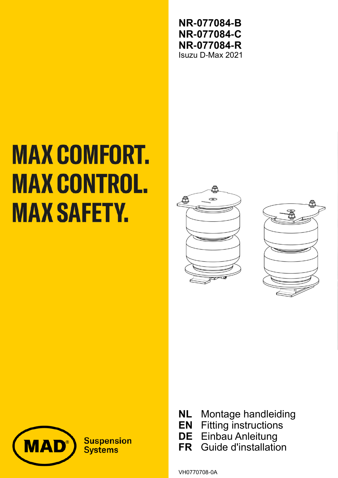**NR-077084-B NR-077084-C NR-077084-R** Isuzu D-Max 2021

# **MAX COMFORT. MAX CONTROL. MAX SAFETY.**







- **NL** Montage handleiding
- **EN** Fitting instructions<br>**DE** Einbau Anleitung
- **Einbau Anleitung**
- **FR** Guide d'installation

VH0770708-0A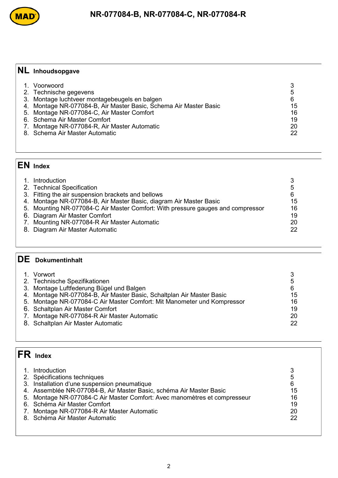<span id="page-1-0"></span>

| <b>NL</b> Inhoudsopgave                                           |    |
|-------------------------------------------------------------------|----|
|                                                                   |    |
| Voorwoord                                                         | 3  |
| 2. Technische gegevens                                            | 5  |
| 3. Montage luchtveer montagebeugels en balgen                     | 6  |
| 4. Montage NR-077084-B, Air Master Basic, Schema Air Master Basic | 15 |
| 5. Montage NR-077084-C, Air Master Comfort                        | 16 |
| 6. Schema Air Master Comfort                                      | 19 |
| 7. Montage NR-077084-R, Air Master Automatic                      | 20 |
| 8. Schema Air Master Automatic                                    | 22 |
|                                                                   |    |
|                                                                   |    |

# **EN Index**

# **DE Dokumentinhalt**

| Vorwort<br>2. Technische Spezifikationen<br>3. Montage Luftfederung Bügel und Balgen<br>4. Montage NR-077084-B, Air Master Basic, Schaltplan Air Master Basic<br>5. Montage NR-077084-C Air Master Comfort: Mit Manometer und Kompressor<br>6. Schaltplan Air Master Comfort<br>7. Montage NR-077084-R Air Master Automatic<br>8. Schaltplan Air Master Automatic | 5<br>6<br>15<br>16<br>19<br>20<br>22 |
|-------------------------------------------------------------------------------------------------------------------------------------------------------------------------------------------------------------------------------------------------------------------------------------------------------------------------------------------------------------------|--------------------------------------|
|-------------------------------------------------------------------------------------------------------------------------------------------------------------------------------------------------------------------------------------------------------------------------------------------------------------------------------------------------------------------|--------------------------------------|

| $FR$ Index                                                                |    |
|---------------------------------------------------------------------------|----|
| 1. Introduction                                                           |    |
| 2. Spécifications techniques                                              | 5  |
| 3. Installation d'une suspension pneumatique                              | 6  |
| 4. Assemblée NR-077084-B, Air Master Basic, schéma Air Master Basic       | 15 |
| 5. Montage NR-077084-C Air Master Comfort: Avec manomètres et compresseur | 16 |
| 6. Schéma Air Master Comfort                                              | 19 |
| 7. Montage NR-077084-R Air Master Automatic                               | 20 |
| 8. Schéma Air Master Automatic                                            | 22 |
|                                                                           |    |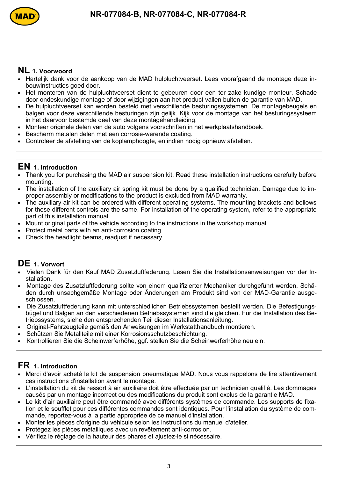<span id="page-2-0"></span>

## **NL 1. Voorwoord**

- Hartelijk dank voor de aankoop van de MAD hulpluchtveerset. Lees voorafgaand de montage deze inbouwinstructies goed door.
- Het monteren van de hulpluchtveerset dient te gebeuren door een ter zake kundige monteur. Schade door ondeskundige montage of door wijzigingen aan het product vallen buiten de garantie van MAD.
- De hulpluchtveerset kan worden besteld met verschillende besturingssystemen. De montagebeugels en balgen voor deze verschillende besturingen zijn gelijk. Kijk voor de montage van het besturingssysteem in het daarvoor bestemde deel van deze montagehandleiding.
- Monteer originele delen van de auto volgens voorschriften in het werkplaatshandboek.
- Bescherm metalen delen met een corrosie-werende coating.
- Controleer de afstelling van de koplamphoogte, en indien nodig opnieuw afstellen.

## **EN 1. Introduction**

- Thank you for purchasing the MAD air suspension kit. Read these installation instructions carefully before mounting.
- The installation of the auxiliary air spring kit must be done by a qualified technician. Damage due to improper assembly or modifications to the product is excluded from MAD warranty.
- The auxiliary air kit can be ordered with different operating systems. The mounting brackets and bellows for these different controls are the same. For installation of the operating system, refer to the appropriate part of this installation manual.
- Mount original parts of the vehicle according to the instructions in the workshop manual.
- Protect metal parts with an anti-corrosion coating.
- Check the headlight beams, readjust if necessary.

## **DE 1. Vorwort**

- Vielen Dank für den Kauf MAD Zusatzluftfederung. Lesen Sie die Installationsanweisungen vor der Installation.
- Montage des Zusatzluftfederung sollte von einem qualifizierter Mechaniker durchgeführt werden. Schäden durch unsachgemäße Montage oder Änderungen am Produkt sind von der MAD-Garantie ausgeschlossen.
- Die Zusatzluftfederung kann mit unterschiedlichen Betriebssystemen bestellt werden. Die Befestigungsbügel und Balgen an den verschiedenen Betriebssystemen sind die gleichen. Für die Installation des Betriebssystems, siehe den entsprechenden Teil dieser Installationsanleitung.
- Original-Fahrzeugteile gemäß den Anweisungen im Werkstatthandbuch montieren.
- Schützen Sie Metallteile mit einer Korrosionsschutzbeschichtung.
- Kontrollieren Sie die Scheinwerferhöhe, ggf. stellen Sie die Scheinwerferhöhe neu ein.

## **FR 1. Introduction**

- Merci d'avoir acheté le kit de suspension pneumatique MAD. Nous vous rappelons de lire attentivement ces instructions d'installation avant le montage.
- L'installation du kit de ressort à air auxiliaire doit être effectuée par un technicien qualifié. Les dommages causés par un montage incorrect ou des modifications du produit sont exclus de la garantie MAD.
- Le kit d'air auxiliaire peut être commandé avec différents systèmes de commande. Les supports de fixation et le soufflet pour ces différentes commandes sont identiques. Pour l'installation du système de commande, reportez-vous à la partie appropriée de ce manuel d'installation.
- Monter les pièces d'origine du véhicule selon les instructions du manuel d'atelier.
- Protégez les pièces métalliques avec un revêtement anti-corrosion.
- Vérifiez le réglage de la hauteur des phares et ajustez-le si nécessaire.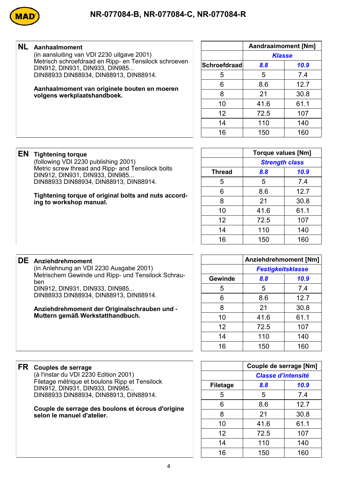

| <b>NL</b>                                                                   | Aanhaalmoment                                                                           |              | <b>Aandraaimoment [Nm]</b> |      |
|-----------------------------------------------------------------------------|-----------------------------------------------------------------------------------------|--------------|----------------------------|------|
|                                                                             | (in aansluiting van VDI 2230 uitgave 2001)                                              |              | <b>Klasse</b>              |      |
|                                                                             | Metrisch schroefdraad en Ripp- en Tensilock schroeven<br>DIN912, DIN931, DIN933, DIN985 | Schroefdraad | 8,8                        | 10.9 |
| DIN88933 DIN88934, DIN88913, DIN88914.                                      | 5                                                                                       | 5            | 7.4                        |      |
| Aanhaalmoment van originele bouten en moeren<br>volgens werkplaatshandboek. | 6                                                                                       | 8.6          | 12.7                       |      |
|                                                                             | 8                                                                                       | 21           | 30.8                       |      |
|                                                                             |                                                                                         | 10           | 41.6                       | 61.1 |
|                                                                             |                                                                                         | 12           | 72.5                       | 107  |
|                                                                             |                                                                                         | 14           | 110                        | 140  |
|                                                                             |                                                                                         | 16           | 150                        | 160  |

| <b>EN</b> Tightening torque                                                         |       |
|-------------------------------------------------------------------------------------|-------|
| (following VDI 2230 publishing 2001)                                                |       |
| Metric screw thread and Ripp- and Tensilock bolts<br>DIN912, DIN931, DIN933, DIN985 | Threa |
| DIN88933 DIN88934, DIN88913, DIN88914.                                              |       |
| Tightening torque of original bolts and nuts accord-                                |       |
| ing to workshop manual.                                                             |       |

|               | <b>Torque values [Nm]</b> |                       |  |  |
|---------------|---------------------------|-----------------------|--|--|
|               |                           | <b>Strength class</b> |  |  |
| <b>Thread</b> | 8.8                       | 10.9                  |  |  |
| 5             | 5                         | 7.4                   |  |  |
| 6             | 8.6                       | 12.7                  |  |  |
| 8             | 21                        | 30.8                  |  |  |
| 10            | 41.6                      | 61.1                  |  |  |
| 12            | 72.5                      | 107                   |  |  |
| 14            | 110                       | 140                   |  |  |
| 16            | 150                       | 160                   |  |  |

| <b>DE</b> Anziehdrehmoment<br>(in Anlehnung an VDI 2230 Ausgabe 2001)<br>Metrischem Gewinde und Ripp- und Tensilock Schrau-<br>ben<br>DIN912, DIN931, DIN933, DIN985<br>DIN88933 DIN88934, DIN88913, DIN88914. |                                              |      | <b>Anziehdrehmoment [Nm]</b> |      |
|----------------------------------------------------------------------------------------------------------------------------------------------------------------------------------------------------------------|----------------------------------------------|------|------------------------------|------|
|                                                                                                                                                                                                                |                                              |      | <b>Festigkeitsklasse</b>     |      |
|                                                                                                                                                                                                                | <b>Gewinde</b>                               | 8.8  | 10.9                         |      |
|                                                                                                                                                                                                                | 5                                            | 5    | 7.4                          |      |
|                                                                                                                                                                                                                | Anziehdrehmoment der Originalschrauben und - | 6    | 8.6                          | 12.7 |
|                                                                                                                                                                                                                |                                              | 8    | 21                           | 30.8 |
| Muttern gemäß Werkstatthandbuch.                                                                                                                                                                               | 10                                           | 41.6 | 61.1                         |      |
|                                                                                                                                                                                                                |                                              | 12   | 72.5                         | 107  |
|                                                                                                                                                                                                                |                                              | 14   | 110                          | 140  |
|                                                                                                                                                                                                                |                                              | 16   | 150                          | 160  |

| <b>FR</b> Couples de serrage<br>(à l'instar du VDI 2230 Edition 2001)<br>Filetage métrique et boulons Ripp et Tensilock<br>DIN912, DIN931, DIN933, DIN985<br>DIN88933 DIN88934, DIN88913, DIN88914. |
|-----------------------------------------------------------------------------------------------------------------------------------------------------------------------------------------------------|
| Causta de censare des hautens et écreus d'origines                                                                                                                                                  |

**Couple de serrage des boulons et écrous d'origine selon le manuel d'atelier.**

| 16              | 150                       | 160  |
|-----------------|---------------------------|------|
|                 |                           |      |
|                 | Couple de serrage [Nm]    |      |
|                 | <b>Classe d'intensité</b> |      |
| <b>Filetage</b> | 8.8                       | 10.9 |
| 5               | 5                         | 7.4  |
| 6               | 8.6                       | 12.7 |
| 8               | 21                        | 30.8 |
| 10              | 41.6                      | 61.1 |
| 12              | 72.5                      | 107  |
| 14              | 110                       | 140  |
| 16              | 150                       | 160  |
|                 |                           |      |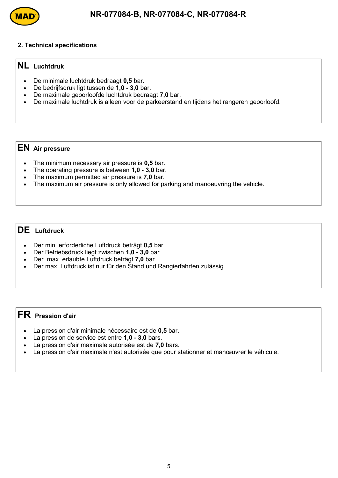<span id="page-4-0"></span>

#### **2. Technical specifications**

## **NL Luchtdruk**

- De minimale luchtdruk bedraagt **0,5** bar.
- De bedrijfsdruk ligt tussen de **1,0 - 3,0** bar.
- De maximale geoorloofde luchtdruk bedraagt **7,0** bar.
- De maximale luchtdruk is alleen voor de parkeerstand en tijdens het rangeren geoorloofd.

## **EN Air pressure**

- The minimum necessary air pressure is **0,5** bar.
- The operating pressure is between **1,0 - 3,0** bar.
- The maximum permitted air pressure is **7,0** bar.
- The maximum air pressure is only allowed for parking and manoeuvring the vehicle.

## **DE Luftdruck**

- Der min. erforderliche Luftdruck beträgt **0,5** bar.
- Der Betriebsdruck liegt zwischen **1,0 - 3,0** bar.
- Der max. erlaubte Luftdruck beträgt **7,0** bar.
- Der max. Luftdruck ist nur für den Stand und Rangierfahrten zulässig.

## **FR Pression d'air**

- La pression d'air minimale nécessaire est de **0,5** bar.
- La pression de service est entre **1,0 - 3,0** bars.
- La pression d'air maximale autorisée est de **7,0** bars.
- La pression d'air maximale n'est autorisée que pour stationner et manœuvrer le véhicule.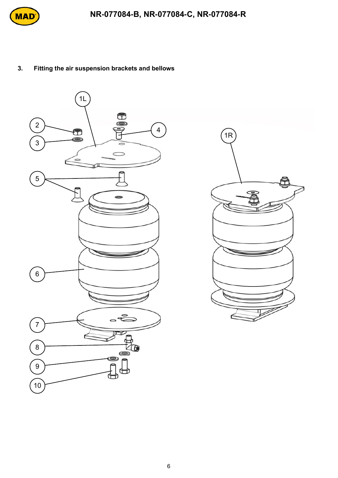<span id="page-5-0"></span>

## **3. Fitting the air suspension brackets and bellows**



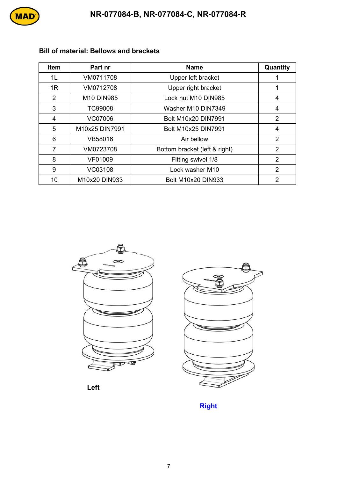

## **Bill of material: Bellows and brackets**

**MAD** 

| <b>Item</b>    | Part nr                            | <b>Name</b>                   | Quantity |
|----------------|------------------------------------|-------------------------------|----------|
| 1L             | VM0711708                          | Upper left bracket            |          |
| 1R             | VM0712708                          | Upper right bracket           |          |
| $\overline{2}$ | M <sub>10</sub> DIN <sub>985</sub> | Lock nut M10 DIN985           | 4        |
| 3              | TC99008                            | Washer M10 DIN7349            | 4        |
| $\overline{4}$ | VC07006                            | Bolt M10x20 DIN7991           | 2        |
| 5              | M10x25 DIN7991                     | Bolt M10x25 DIN7991           | 4        |
| 6              | VB58016                            | Air bellow                    | 2        |
| 7              | VM0723708                          | Bottom bracket (left & right) | 2        |
| 8              | VF01009                            | Fitting swivel 1/8            | 2        |
| 9              | VC03108                            | Lock washer M10               | 2        |
| 10             | M10x20 DIN933                      | <b>Bolt M10x20 DIN933</b>     | 2        |







**Right**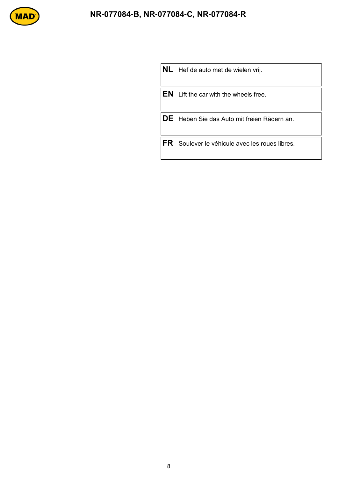

| <b>NL</b> Hef de auto met de wielen vrij.             |
|-------------------------------------------------------|
| <b>EN</b> Lift the car with the wheels free.          |
| <b>DE</b> Heben Sie das Auto mit freien Rädern an.    |
| <b>FR</b> Soulever le véhicule avec les roues libres. |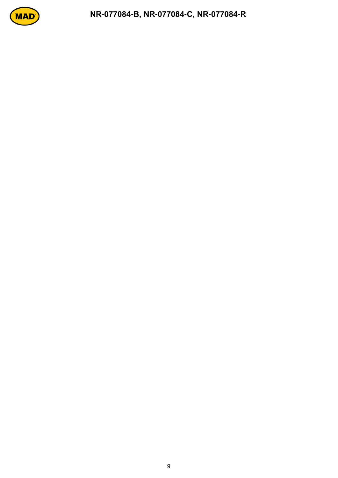

**NR-077084-B, NR-077084-C, NR-077084-R**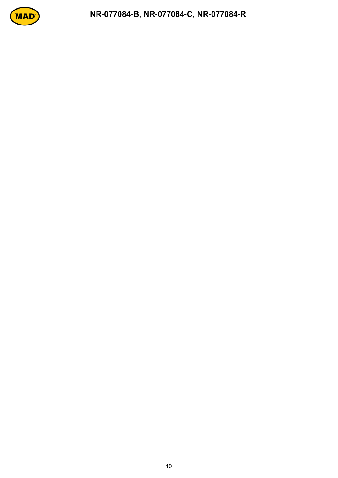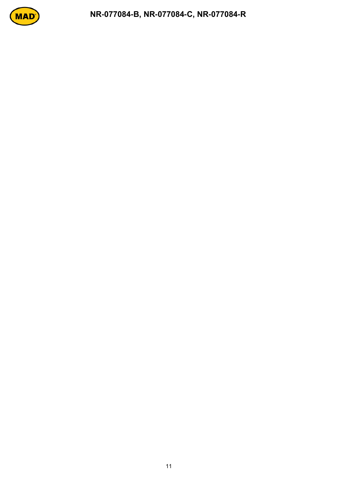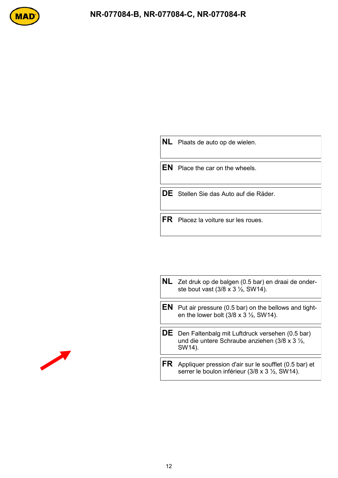

|  | <b>NL</b> Plaats de auto op de wielen.        |
|--|-----------------------------------------------|
|  | <b>EN</b> Place the car on the wheels.        |
|  | <b>DE</b> Stellen Sie das Auto auf die Räder. |
|  | <b>FR</b> Placez la voiture sur les roues.    |

| <b>NL</b> Zet druk op de balgen (0.5 bar) en draai de onder-<br>ste bout vast $(3/8 \times 3 \frac{1}{2}, \text{SW14})$ .        |
|----------------------------------------------------------------------------------------------------------------------------------|
| <b>EN</b> Put air pressure (0.5 bar) on the bellows and tight-<br>en the lower bolt $(3/8 \times 3 \frac{1}{2}, \text{SW14}).$   |
| <b>DE</b> Den Faltenbalg mit Luftdruck versehen (0.5 bar)<br>und die untere Schraube anziehen (3/8 x 3 $\frac{1}{2}$ ,<br>SW14). |
| $FR$ Appliquer pression d'air sur le soufflet (0.5 bar) et<br>serrer le boulon inférieur (3/8 x 3 ½, SW14).                      |
|                                                                                                                                  |

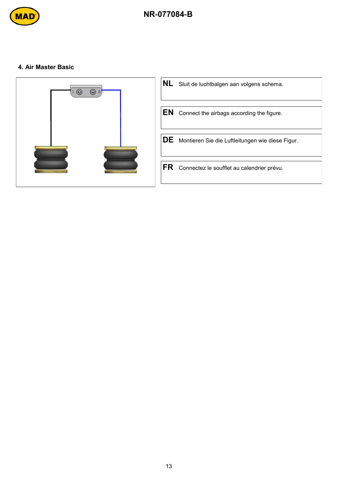<span id="page-12-0"></span>

#### **4. Air Master Basic**

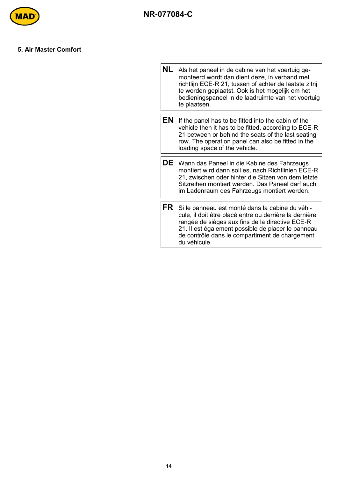<span id="page-13-0"></span>

 $\mathbf{r}$ 

**5. Air Master Comfort**

|           | <b>NL</b> Als het paneel in de cabine van het voertuig ge-<br>monteerd wordt dan dient deze, in verband met<br>richtlijn ECE-R 21, tussen of achter de laatste zitrij<br>te worden geplaatst. Ook is het mogelijk om het<br>bedieningspaneel in de laadruimte van het voertuig<br>te plaatsen. |
|-----------|------------------------------------------------------------------------------------------------------------------------------------------------------------------------------------------------------------------------------------------------------------------------------------------------|
| <b>EN</b> | If the panel has to be fitted into the cabin of the<br>vehicle then it has to be fitted, according to ECE-R<br>21 between or behind the seats of the last seating<br>row. The operation panel can also be fitted in the<br>loading space of the vehicle.                                       |
|           | <b>DE</b> Wann das Paneel in die Kabine des Fahrzeugs<br>montiert wird dann soll es, nach Richtlinien ECE-R<br>21, zwischen oder hinter die Sitzen von dem letzte<br>Sitzreihen montiert werden. Das Paneel darf auch                                                                          |
|           | im Ladenraum des Fahrzeugs montiert werden.                                                                                                                                                                                                                                                    |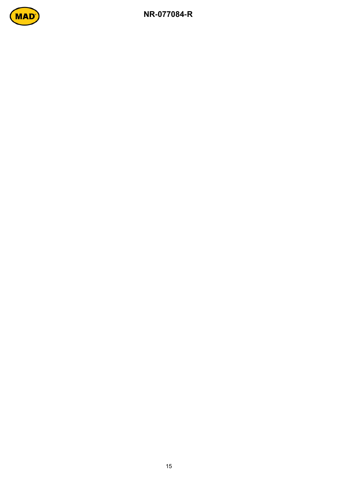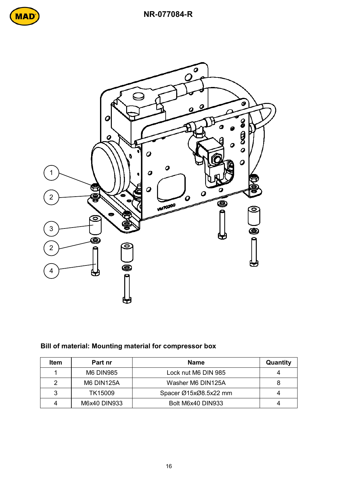



## **Bill of material: Mounting material for compressor box**

| Item | Part nr           | <b>Name</b>           | Quantity |
|------|-------------------|-----------------------|----------|
|      | <b>M6 DIN985</b>  | Lock nut M6 DIN 985   |          |
| っ    | <b>M6 DIN125A</b> | Washer M6 DIN125A     |          |
| 3    | TK15009           | Spacer Ø15xØ8.5x22 mm |          |
| 4    | M6x40 DIN933      | Bolt M6x40 DIN933     |          |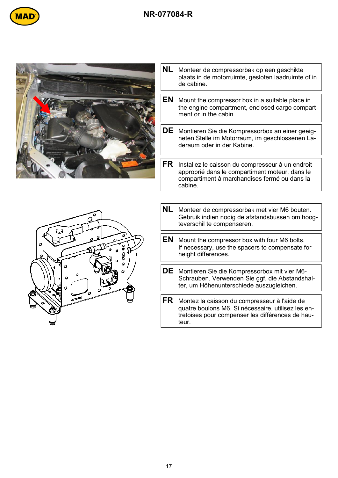

## **NR-077084-R**



- **NL** Monteer de compressorbak op een geschikte plaats in de motorruimte, gesloten laadruimte of in de cabine.
- **EN** Mount the compressor box in a suitable place in the engine compartment, enclosed cargo compartment or in the cabin.
- **DE** Montieren Sie die Kompressorbox an einer geeigneten Stelle im Motorraum, im geschlossenen Laderaum oder in der Kabine.
- **FR** Installez le caisson du compresseur à un endroit approprié dans le compartiment moteur, dans le compartiment à marchandises fermé ou dans la cabine.



- **NL** Monteer de compressorbak met vier M6 bouten. Gebruik indien nodig de afstandsbussen om hoogteverschil te compenseren.
- **EN** Mount the compressor box with four M6 bolts. If necessary, use the spacers to compensate for height differences.
- **DE** Montieren Sie die Kompressorbox mit vier M6- Schrauben. Verwenden Sie ggf. die Abstandshalter, um Höhenunterschiede auszugleichen.
- **FR** Montez la caisson du compresseur à l'aide de quatre boulons M6. Si nécessaire, utilisez les entretoises pour compenser les différences de hauteur.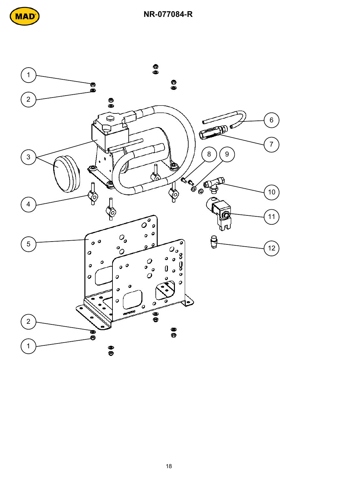

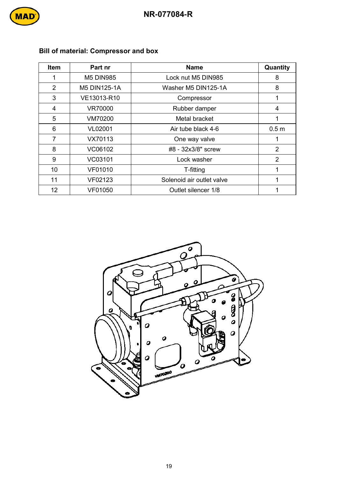<span id="page-18-0"></span>

| <b>Item</b> | Part nr             | <b>Name</b>               | Quantity         |
|-------------|---------------------|---------------------------|------------------|
| 1           | <b>M5 DIN985</b>    | Lock nut M5 DIN985        | 8                |
| 2           | <b>M5 DIN125-1A</b> | Washer M5 DIN125-1A       | 8                |
| 3           | VE13013-R10         | Compressor                |                  |
| 4           | <b>VR70000</b>      | Rubber damper             | 4                |
| 5           | VM70200             | Metal bracket             |                  |
| 6           | <b>VL02001</b>      | Air tube black 4-6        | 0.5 <sub>m</sub> |
| 7           | VX70113             | One way valve             |                  |
| 8           | VC06102             | #8 - 32x3/8" screw        | $\overline{2}$   |
| 9           | VC03101             | Lock washer               | $\overline{2}$   |
| 10          | VF01010             | T-fitting                 | 1                |
| 11          | VF02123             | Solenoid air outlet valve | 1                |
| 12          | VF01050             | Outlet silencer 1/8       |                  |

# **Bill of material: Compressor and box**

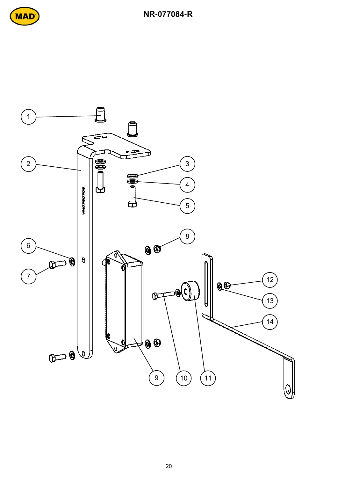

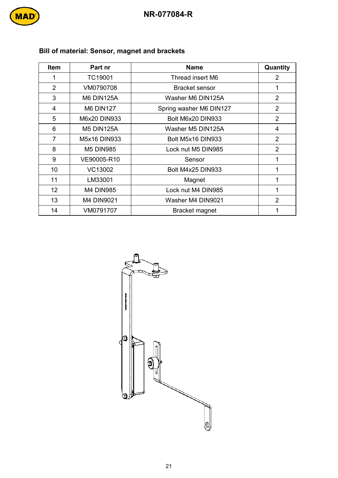

# **Bill of material: Sensor, magnet and brackets**

| <b>Item</b>    | Part nr           | <b>Name</b>             | Quantity       |
|----------------|-------------------|-------------------------|----------------|
| 1              | TC19001           | Thread insert M6        | 2              |
| $\overline{2}$ | VM0790708         | <b>Bracket sensor</b>   | 1              |
| 3              | <b>M6 DIN125A</b> | Washer M6 DIN125A       | $\overline{2}$ |
| 4              | <b>M6 DIN127</b>  | Spring washer M6 DIN127 | $\overline{2}$ |
| 5              | M6x20 DIN933      | Bolt M6x20 DIN933       | $\overline{2}$ |
| 6              | <b>M5 DIN125A</b> | Washer M5 DIN125A       | 4              |
| $\overline{7}$ | M5x16 DIN933      | Bolt M5x16 DIN933       | $\overline{2}$ |
| 8              | <b>M5 DIN985</b>  | Lock nut M5 DIN985      | $\overline{2}$ |
| 9              | VE90005-R10       | Sensor                  |                |
| 10             | VC13002           | Bolt M4x25 DIN933       | 1              |
| 11             | LM33001           | Magnet                  |                |
| 12             | <b>M4 DIN985</b>  | Lock nut M4 DIN985      | 1              |
| 13             | <b>M4 DIN9021</b> | Washer M4 DIN9021       | $\overline{2}$ |
| 14             | VM0791707         | Bracket magnet          |                |

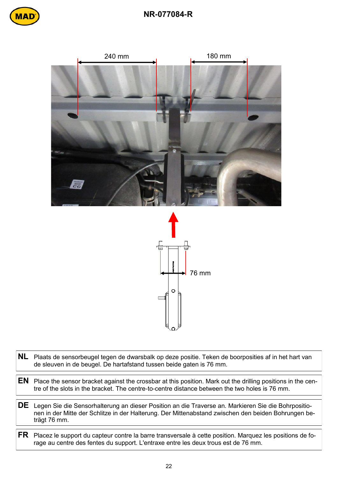## **NR-077084-R**





| NL Plaats de sensorbeugel tegen de dwarsbalk op deze positie. Teken de boorposities af in het hart van |
|--------------------------------------------------------------------------------------------------------|
| de sleuven in de beugel. De hartafstand tussen beide gaten is 76 mm.                                   |

- **EN** Place the sensor bracket against the crossbar at this position. Mark out the drilling positions in the centre of the slots in the bracket. The centre-to-centre distance between the two holes is 76 mm.
- **DE** Legen Sie die Sensorhalterung an dieser Position an die Traverse an. Markieren Sie die Bohrpositionen in der Mitte der Schlitze in der Halterung. Der Mittenabstand zwischen den beiden Bohrungen beträgt 76 mm.
- **FR** Placez le support du capteur contre la barre transversale à cette position. Marquez les positions de forage au centre des fentes du support. L'entraxe entre les deux trous est de 76 mm.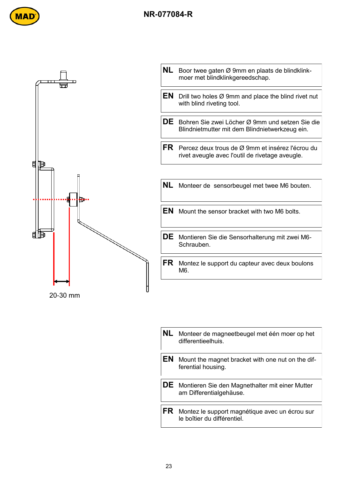



|  | <b>NL</b> Monteer de magneetbeugel met één moer op het<br>differentieelhuis          |
|--|--------------------------------------------------------------------------------------|
|  | <b>EN</b> Mount the magnet bracket with one nut on the dif-<br>ferential housing.    |
|  | <b>DE</b> Montieren Sie den Magnethalter mit einer Mutter<br>am Differentialgehäuse. |
|  | $FR$ Montez le support magnétique avec un écrou sur<br>le boîtier du différentiel.   |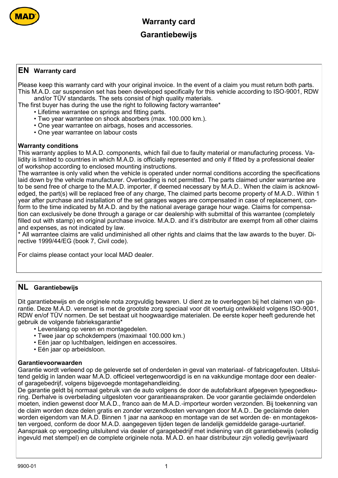

# **Warranty card Garantiebewijs**

## **EN Warranty card**

Please keep this warranty card with your original invoice. In the event of a claim you must return both parts. This M.A.D. car suspension set has been developed specifically for this vehicle according to ISO-9001, RDW and/or TÜV standards. The sets consist of high quality materials.

The first buyer has during the use the right to following factory warrantee\*

- Lifetime warrantee on springs and fitting parts.
- Two year warrantee on shock absorbers (max. 100.000 km.).
- One year warrantee on airbags, hoses and accessories.
- One year warrantee on labour costs

#### **Warranty conditions**

This warranty applies to M.A.D. components, which fail due to faulty material or manufacturing process. Validity is limited to countries in which M.A.D. is officially represented and only if fitted by a professional dealer of workshop according to enclosed mounting instructions.

The warrantee is only valid when the vehicle is operated under normal conditions according the specifications laid down by the vehicle manufacturer. Overloading is not permitted. The parts claimed under warrantee are to be send free of charge to the M.A.D. importer, if deemed necessary by M.A.D.. When the claim is acknowledged, the part(s) will be replaced free of any charge, The claimed parts become property of M.A.D.. Within 1 year after purchase and installation of the set garages wages are compensated in case of replacement, conform to the time indicated by M.A.D. and by the national average garage hour wage. Claims for compensation can exclusively be done through a garage or car dealership with submittal of this warrantee (completely filled out with stamp) en original purchase invoice. M.A.D. and it's distributor are exempt from all other claims and expenses, as not indicated by law.

\* All warrantee claims are valid undiminished all other rights and claims that the law awards to the buyer. Directive 1999/44/EG (book 7, Civil code).

For claims please contact your local MAD dealer.

## **NL Garantiebewijs**

Dit garantiebewijs en de originele nota zorgvuldig bewaren. U dient ze te overleggen bij het claimen van garantie. Deze M.A.D. verenset is met de grootste zorg speciaal voor dit voertuig ontwikkeld volgens ISO-9001, RDW en/of TÜV normen. De set bestaat uit hoogwaardige materialen. De eerste koper heeft gedurende het gebruik de volgende fabrieksgarantie\*

- Levenslang op veren en montagedelen.
- Twee jaar op schokdempers (maximaal 100.000 km.)
- Eén jaar op luchtbalgen, leidingen en accessoires.
- Eén jaar op arbeidsloon.

#### **Garantievoorwaarden**

Garantie wordt verleend op de geleverde set of onderdelen in geval van materiaal- of fabricagefouten. Uitsluitend geldig in landen waar M.A.D. officieel vertegenwoordigd is en na vakkundige montage door een dealerof garagebedrijf, volgens bijgevoegde montagehandleiding.

De garantie geldt bij normaal gebruik van de auto volgens de door de autofabrikant afgegeven typegoedkeuring. Derhalve is overbelading uitgesloten voor garantieaanspraken. De voor garantie geclaimde onderdelen moeten, indien gewenst door M.A.D., franco aan de M.A.D.-importeur worden verzonden. Bij toekenning van de claim worden deze delen gratis en zonder verzendkosten vervangen door M.A.D.. De geclaimde delen worden eigendom van M.A.D. Binnen 1 jaar na aankoop en montage van de set worden de- en montagekosten vergoed, conform de door M.A.D. aangegeven tijden tegen de landelijk gemiddelde garage-uurtarief. Aanspraak op vergoeding uitsluitend via dealer of garagebedrijf met indiening van dit garantiebewijs (volledig ingevuld met stempel) en de complete originele nota. M.A.D. en haar distributeur zijn volledig gevrijwaard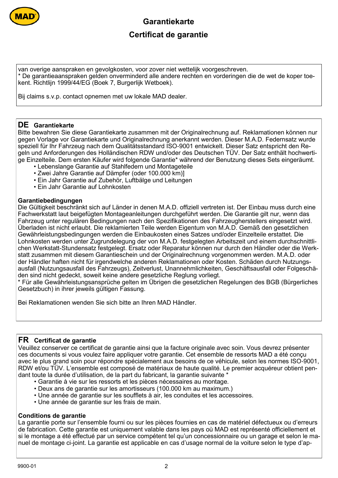

## **Garantiekarte**

## **Certificat de garantie**

van overige aanspraken en gevolgkosten, voor zover niet wettelijk voorgeschreven. \* De garantieaanspraken gelden onverminderd alle andere rechten en vorderingen die de wet de koper toekent. Richtlijn 1999/44/EG (Boek 7, Burgerlijk Wetboek).

Bij claims s.v.p. contact opnemen met uw lokale MAD dealer.

### **DE Garantiekarte**

Bitte bewahren Sie diese Garantiekarte zusammen mit der Originalrechnung auf. Reklamationen können nur gegen Vorlage vor Garantiekarte und Originalrechnung anerkannt werden. Dieser M.A.D. Federnsatz wurde speziell für Ihr Fahrzeug nach dem Qualitätsstandard ISO-9001 entwickelt. Dieser Satz entspricht den Regeln und Anforderungen des Holländischen RDW und/oder des Deutschen TÜV. Der Satz enthält hochwertige Einzelteile. Dem ersten Käufer wird folgende Garantie\* während der Benutzung dieses Sets eingeräumt.

- Lebenslange Garantie auf Stahlfedern und Montageteile
- Zwei Jahre Garantie auf Dämpfer (oder 100.000 km)] • Ein Jahr Garantie auf Zubehör, Luftbälge und Leitungen
- Ein Jahr Garantie auf Lohnkosten

### **Garantiebedingungen**

Die Gültigkeit beschränkt sich auf Länder in denen M.A.D. offiziell vertreten ist. Der Einbau muss durch eine Fachwerkstatt laut beigefügten Montageanleitungen durchgeführt werden. Die Garantie gilt nur, wenn das Fahrzeug unter regulären Bedingungen nach den Spezifikationen des Fahrzeugherstellers eingesetzt wird. Überladen ist nicht erlaubt. Die reklamierten Teile werden Eigentum von M.A.D. Gemäß den gesetzlichen Gewährleistungsbedingungen werden die Einbaukosten eines Satzes und/oder Einzelteile erstattet. Die Lohnkosten werden unter Zugrundelegung der von M.A.D. festgelegten Arbeitszeit und einem durchschnittlichen Werkstatt-Stundensatz festgelegt. Ersatz oder Reparatur können nur durch den Händler oder die Werkstatt zusammen mit diesem Garantieschein und der Originalrechnung vorgenommen werden. M.A.D. oder der Händler haften nicht für irgendwelche anderen Reklamationen oder Kosten. Schäden durch Nutzungsausfall (Nutzungsausfall des Fahrzeugs), Zeitverlust, Unannehmlichkeiten, Geschäftsausfall oder Folgeschäden sind nicht gedeckt, soweit keine andere gesetzliche Reglung vorliegt.

\* Für alle Gewährleistungsansprüche gelten im Übrigen die gesetzlichen Regelungen des BGB (Bürgerliches Gesetzbuch) in ihrer jeweils gültigen Fassung.

Bei Reklamationen wenden Sie sich bitte an Ihren MAD Händler.

### **FR Certificat de garantie**

Veuillez conserver ce certificat de garantie ainsi que la facture originale avec soin. Vous devrez présenter ces documents si vous voulez faire appliquer votre garantie. Cet ensemble de ressorts MAD a été conçu avec le plus grand soin pour répondre spécialement aux besoins de ce véhicule, selon les normes ISO-9001, RDW et/ou TÜV. L'ensemble est composé de matériaux de haute qualité. Le premier acquéreur obtient pendant toute la durée d'utilisation, de la part du fabricant, la garantie suivante \*

- Garantie à vie sur les ressorts et les pièces nécessaires au montage.
- Deux ans de garantie sur les amortisseurs (100.000 km au maximum.)
- Une année de garantie sur les soufflets à air, les conduites et les accessoires.
- Une année de garantie sur les frais de main.

#### **Conditions de garantie**

La garantie porte sur l'ensemble fourni ou sur les pièces fournies en cas de matériel défectueux ou d'erreurs de fabrication. Cette garantie est uniquement valable dans les pays où MAD est représenté officiellement et si le montage a été effectué par un service compétent tel qu'un concessionnaire ou un garage et selon le manuel de montage ci-joint. La garantie est applicable en cas d'usage normal de la voiture selon le type d'ap-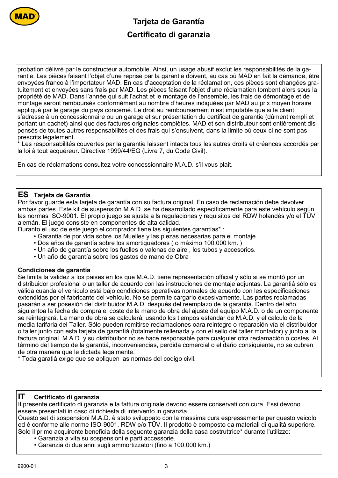

# **Tarjeta de Garantía Certificato di garanzia**

probation délivré par le constructeur automobile. Ainsi, un usage abusif exclut les responsabilités de la garantie. Les pièces faisant l'objet d'une reprise par la garantie doivent, au cas où MAD en fait la demande, être envoyées franco à l'importateur MAD. En cas d'acceptation de la réclamation, ces pièces sont changées gratuitement et envoyées sans frais par MAD. Les pièces faisant l'objet d'une réclamation tombent alors sous la propriété de MAD. Dans l'année qui suit l'achat et le montage de l'ensemble, les frais de démontage et de montage seront remboursés conformément au nombre d'heures indiquées par MAD au prix moyen horaire appliqué par le garage du pays concerné. Le droit au remboursement n'est imputable que si le client s'adresse à un concessionnaire ou un garage et sur présentation du certificat de garantie (dûment rempli et portant un cachet) ainsi que des factures originales complètes. MAD et son distributeur sont entièrement dispensés de toutes autres responsabilités et des frais qui s'ensuivent, dans la limite où ceux-ci ne sont pas prescrits légalement.

\* Les responsabilités couvertes par la garantie laissent intacts tous les autres droits et créances accordés par la loi à tout acquéreur. Directive 1999/44/EG (Livre 7, du Code Civil).

En cas de réclamations consultez votre concessionnaire M.A.D. s'il vous plait.

## **ES Tarjeta de Garantía**

Por favor guarde esta tarjeta de garantía con su factura original. En caso de reclamación debe devolver ambas partes. Este kit de suspensión M.A.D. se ha desarrollado específicamente para este vehículo según las normas ISO-9001. El propio juego se ajusta a ls regulaciones y requisitos del RDW holandés y/o el TÜV alemán. El juego consiste en componentes de alta calidad.

Duranto el uso de este juego el comprador tiene las siguientes garantías\* :

- Garantia de por vida sobre los Muelles y las piezas necesarias para el montaje
- Dos años de garantía sobre los amortiguadores ( o máximo 100.000 km. )
- Un año de garantía sobre los fuelles o valonas de aire , los tubos y accesorios.
- Un año de garantía sobre los gastos de mano de Obra

#### **Condiciones de garantía**

Se limita la validez a los paises en los que M.A.D. tiene representación official y sólo si se montó por un distribuidor profesional o un taller de acuerdo con las instrucciones de montaje adjuntas. La garantiá sólo es válida cuanda el vehículo está bajo condiciones operativas normales de acuerdo con les especificaciones extendidas por el fabricante del vehículo. No se permite cargarlo excesivamente. Las partes reclamadas pasarán a ser posesión del distribuidor M.A.D. después del reemplazo de la garantiá. Dentro del año siguientoa la fecha de compra el coste de la mano de obra del ajuste del equipo M.A.D. o de un componente se reintegrará. La mano de obra se calculará, usando los tiempos estandar de M.A.D. y el calculo de la media tarifaria del Taller. Sólo pueden remitirse reclamaciones oara reintegro o reparación vía el distribuidor o taller junto con esta tarjeta de garantiá (totalmente rellenada y con el sello del taller montador) y junto al la factura original. M.A.D. y su distribuibor no se hace responsable para cualguier otra reclamación o costes. Al término del tiempo de la garantiá, inconveniencias, perdida comercial o el daño consiquiente, no se cubren de otra manera que le dictada legalmente.

\* Toda garatiá exige que se apliquen las normas del codigo civil.

### **IT Certificato di garanzia**

Il presente certificato di garanzia e la fattura originale devono essere conservati con cura. Essi devono essere presentati in caso di richiesta di intervento in garanzia.

Questo set di sospensioni M.A.D. è stato sviluppato con la massima cura espressamente per questo veicolo ed è conforme alle norme ISO-9001, RDW e/o TÜV. Il prodotto è composto da materiali di qualità superiore. Solo il primo acquirente beneficia della seguente garanzia della casa costruttrice\* durante l'utilizzo:

• Garanzia a vita su sospensioni e parti accessorie.

• Garanzia di due anni sugli ammortizzatori (fino a 100.000 km.)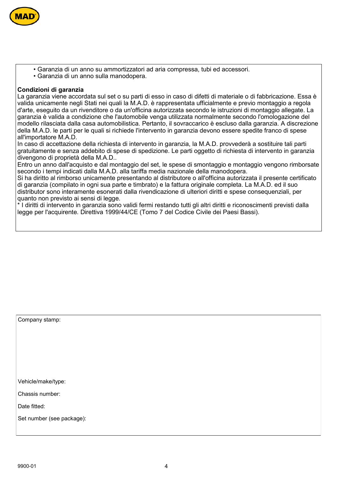

- Garanzia di un anno su ammortizzatori ad aria compressa, tubi ed accessori.
- Garanzia di un anno sulla manodopera.

#### **Condizioni di garanzia**

La garanzia viene accordata sul set o su parti di esso in caso di difetti di materiale o di fabbricazione. Essa è valida unicamente negli Stati nei quali la M.A.D. è rappresentata ufficialmente e previo montaggio a regola d'arte, eseguito da un rivenditore o da un'officina autorizzata secondo le istruzioni di montaggio allegate. La garanzia è valida a condizione che l'automobile venga utilizzata normalmente secondo l'omologazione del modello rilasciata dalla casa automobilistica. Pertanto, il sovraccarico è escluso dalla garanzia. A discrezione della M.A.D. le parti per le quali si richiede l'intervento in garanzia devono essere spedite franco di spese all'importatore M.A.D.

In caso di accettazione della richiesta di intervento in garanzia, la M.A.D. provvederà a sostituire tali parti gratuitamente e senza addebito di spese di spedizione. Le parti oggetto di richiesta di intervento in garanzia divengono di proprietà della M.A.D..

Entro un anno dall'acquisto e dal montaggio del set, le spese di smontaggio e montaggio vengono rimborsate secondo i tempi indicati dalla M.A.D. alla tariffa media nazionale della manodopera.

Si ha diritto al rimborso unicamente presentando al distributore o all'officina autorizzata il presente certificato di garanzia (compilato in ogni sua parte e timbrato) e la fattura originale completa. La M.A.D. ed il suo distributor sono interamente esonerati dalla rivendicazione di ulteriori diritti e spese consequenziali, per quanto non previsto ai sensi di legge.

\* I diritti di intervento in garanzia sono validi fermi restando tutti gli altri diritti e riconoscimenti previsti dalla legge per l'acquirente. Direttiva 1999/44/CE (Tomo 7 del Codice Civile dei Paesi Bassi).

| Company stamp:            |  |
|---------------------------|--|
|                           |  |
|                           |  |
|                           |  |
|                           |  |
|                           |  |
| Vehicle/make/type:        |  |
| Chassis number:           |  |
| Date fitted:              |  |
| Set number (see package): |  |
|                           |  |